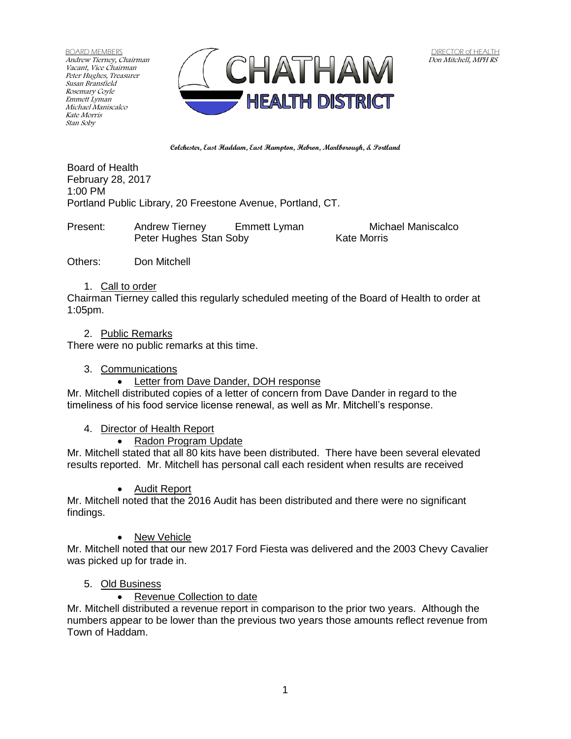BOARD MEMBERS Andrew Tierney, Chairman Vacant, Vice Chairman Peter Hughes, Treasurer Susan Bransfield Rosemary Coyle Emmett Lyman Michael Maniscalco Kate Morris Stan Soby



**Colchester, East Haddam, East Hampton, Hebron, Marlborough, & Portland**

Board of Health February 28, 2017 1:00 PM Portland Public Library, 20 Freestone Avenue, Portland, CT.

Present: Andrew Tierney Emmett Lyman Michael Maniscalco Peter Hughes Stan Soby Kate Morris

Others: Don Mitchell

### 1. Call to order

Chairman Tierney called this regularly scheduled meeting of the Board of Health to order at 1:05pm.

### 2. Public Remarks

There were no public remarks at this time.

3. Communications

• Letter from Dave Dander, DOH response

Mr. Mitchell distributed copies of a letter of concern from Dave Dander in regard to the timeliness of his food service license renewal, as well as Mr. Mitchell's response.

## 4. Director of Health Report

• Radon Program Update

Mr. Mitchell stated that all 80 kits have been distributed. There have been several elevated results reported. Mr. Mitchell has personal call each resident when results are received

• Audit Report

Mr. Mitchell noted that the 2016 Audit has been distributed and there were no significant findings.

New Vehicle

Mr. Mitchell noted that our new 2017 Ford Fiesta was delivered and the 2003 Chevy Cavalier was picked up for trade in.

## 5. Old Business

• Revenue Collection to date

Mr. Mitchell distributed a revenue report in comparison to the prior two years. Although the numbers appear to be lower than the previous two years those amounts reflect revenue from Town of Haddam.